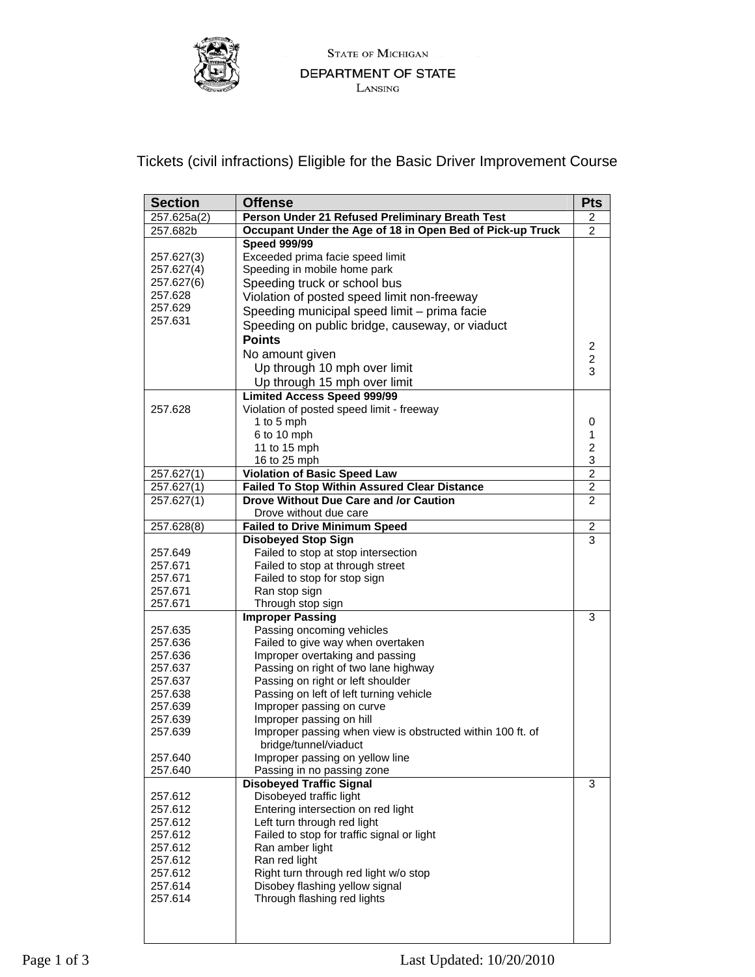

Tickets (civil infractions) Eligible for the Basic Driver Improvement Course

| <b>Section</b>     | <b>Offense</b>                                                            | <b>Pts</b>              |
|--------------------|---------------------------------------------------------------------------|-------------------------|
| 257.625a(2)        | Person Under 21 Refused Preliminary Breath Test                           | 2                       |
| 257.682b           | Occupant Under the Age of 18 in Open Bed of Pick-up Truck                 | 2                       |
|                    | <b>Speed 999/99</b>                                                       |                         |
| 257.627(3)         | Exceeded prima facie speed limit                                          |                         |
| 257.627(4)         | Speeding in mobile home park                                              |                         |
| 257.627(6)         | Speeding truck or school bus                                              |                         |
| 257.628            | Violation of posted speed limit non-freeway                               |                         |
| 257.629            | Speeding municipal speed limit - prima facie                              |                         |
| 257.631            | Speeding on public bridge, causeway, or viaduct                           |                         |
|                    | <b>Points</b>                                                             |                         |
|                    | No amount given                                                           | $\overline{\mathbf{c}}$ |
|                    |                                                                           | $\overline{c}$          |
|                    | Up through 10 mph over limit                                              | 3                       |
|                    | Up through 15 mph over limit                                              |                         |
|                    | <b>Limited Access Speed 999/99</b>                                        |                         |
| 257.628            | Violation of posted speed limit - freeway                                 |                         |
|                    | 1 to 5 mph                                                                | 0                       |
|                    | 6 to 10 mph                                                               | 1                       |
|                    | 11 to 15 mph                                                              | 2                       |
|                    | 16 to 25 mph                                                              | 3                       |
| 257.627(1)         | <b>Violation of Basic Speed Law</b>                                       | $\overline{2}$          |
| 257.627(1)         | <b>Failed To Stop Within Assured Clear Distance</b>                       | $\overline{c}$          |
| 257.627(1)         | <b>Drove Without Due Care and /or Caution</b>                             | $\overline{2}$          |
|                    | Drove without due care                                                    |                         |
| 257.628(8)         | <b>Failed to Drive Minimum Speed</b>                                      | $\overline{c}$          |
|                    | <b>Disobeyed Stop Sign</b>                                                | 3                       |
| 257.649            | Failed to stop at stop intersection                                       |                         |
| 257.671            | Failed to stop at through street                                          |                         |
| 257.671            | Failed to stop for stop sign                                              |                         |
| 257.671            | Ran stop sign                                                             |                         |
| 257.671            | Through stop sign                                                         |                         |
|                    | <b>Improper Passing</b>                                                   | 3                       |
| 257.635            | Passing oncoming vehicles                                                 |                         |
| 257.636            | Failed to give way when overtaken                                         |                         |
| 257.636            | Improper overtaking and passing                                           |                         |
| 257.637            | Passing on right of two lane highway<br>Passing on right or left shoulder |                         |
| 257.637            |                                                                           |                         |
| 257.638<br>257.639 | Passing on left of left turning vehicle                                   |                         |
| 257.639            | Improper passing on curve<br>Improper passing on hill                     |                         |
| 257.639            | Improper passing when view is obstructed within 100 ft. of                |                         |
|                    | bridge/tunnel/viaduct                                                     |                         |
| 257.640            | Improper passing on yellow line                                           |                         |
| 257.640            | Passing in no passing zone                                                |                         |
|                    | <b>Disobeyed Traffic Signal</b>                                           | 3                       |
| 257.612            | Disobeyed traffic light                                                   |                         |
| 257.612            | Entering intersection on red light                                        |                         |
| 257.612            | Left turn through red light                                               |                         |
| 257.612            | Failed to stop for traffic signal or light                                |                         |
| 257.612            | Ran amber light                                                           |                         |
| 257.612            | Ran red light                                                             |                         |
| 257.612            | Right turn through red light w/o stop                                     |                         |
| 257.614            | Disobey flashing yellow signal                                            |                         |
| 257.614            | Through flashing red lights                                               |                         |
|                    |                                                                           |                         |
|                    |                                                                           |                         |

Page 1 of 3 Last Updated: 10/20/2010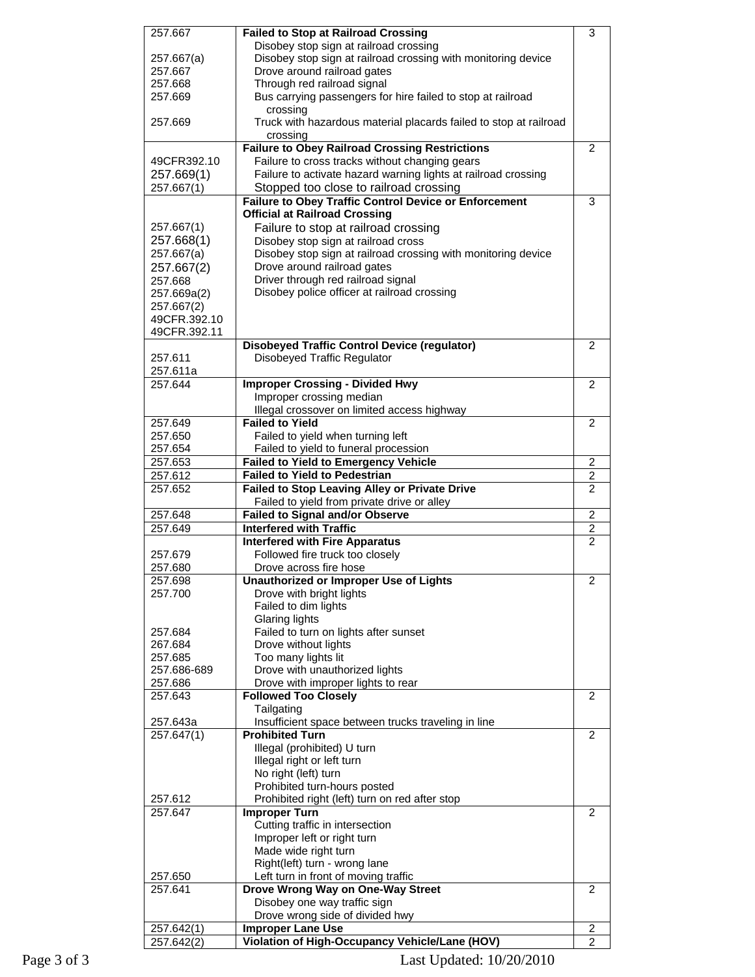| 257.667      | <b>Failed to Stop at Railroad Crossing</b>                        | 3                       |
|--------------|-------------------------------------------------------------------|-------------------------|
|              | Disobey stop sign at railroad crossing                            |                         |
|              |                                                                   |                         |
| 257.667(a)   | Disobey stop sign at railroad crossing with monitoring device     |                         |
| 257.667      | Drove around railroad gates                                       |                         |
| 257.668      | Through red railroad signal                                       |                         |
|              |                                                                   |                         |
| 257.669      | Bus carrying passengers for hire failed to stop at railroad       |                         |
|              | crossing                                                          |                         |
| 257.669      |                                                                   |                         |
|              | Truck with hazardous material placards failed to stop at railroad |                         |
|              | crossing                                                          |                         |
|              | <b>Failure to Obey Railroad Crossing Restrictions</b>             | 2                       |
|              |                                                                   |                         |
| 49CFR392.10  | Failure to cross tracks without changing gears                    |                         |
| 257.669(1)   | Failure to activate hazard warning lights at railroad crossing    |                         |
|              |                                                                   |                         |
| 257.667(1)   | Stopped too close to railroad crossing                            |                         |
|              | <b>Failure to Obey Traffic Control Device or Enforcement</b>      | 3                       |
|              |                                                                   |                         |
|              | <b>Official at Railroad Crossing</b>                              |                         |
| 257.667(1)   | Failure to stop at railroad crossing                              |                         |
| 257.668(1)   |                                                                   |                         |
|              | Disobey stop sign at railroad cross                               |                         |
| 257.667(a)   | Disobey stop sign at railroad crossing with monitoring device     |                         |
| 257.667(2)   | Drove around railroad gates                                       |                         |
|              |                                                                   |                         |
| 257.668      | Driver through red railroad signal                                |                         |
| 257.669a(2)  | Disobey police officer at railroad crossing                       |                         |
|              |                                                                   |                         |
| 257.667(2)   |                                                                   |                         |
| 49CFR.392.10 |                                                                   |                         |
|              |                                                                   |                         |
| 49CFR.392.11 |                                                                   |                         |
|              | <b>Disobeyed Traffic Control Device (regulator)</b>               | 2                       |
| 257.611      | Disobeyed Traffic Regulator                                       |                         |
|              |                                                                   |                         |
| 257.611a     |                                                                   |                         |
| 257.644      | <b>Improper Crossing - Divided Hwy</b>                            | 2                       |
|              |                                                                   |                         |
|              | Improper crossing median                                          |                         |
|              | Illegal crossover on limited access highway                       |                         |
| 257.649      | <b>Failed to Yield</b>                                            | 2                       |
|              |                                                                   |                         |
| 257.650      | Failed to yield when turning left                                 |                         |
| 257.654      | Failed to yield to funeral procession                             |                         |
|              |                                                                   |                         |
| 257.653      | <b>Failed to Yield to Emergency Vehicle</b>                       | 2                       |
| 257.612      | <b>Failed to Yield to Pedestrian</b>                              | 2                       |
|              |                                                                   |                         |
| 257.652      | <b>Failed to Stop Leaving Alley or Private Drive</b>              | $\overline{2}$          |
|              | Failed to yield from private drive or alley                       |                         |
| 257.648      | <b>Failed to Signal and/or Observe</b>                            | $\overline{2}$          |
|              |                                                                   |                         |
| 257.649      | <b>Interfered with Traffic</b>                                    | $\overline{\mathbf{c}}$ |
|              | <b>Interfered with Fire Apparatus</b>                             | $\overline{2}$          |
|              | Followed fire truck too closely                                   |                         |
| 257.679      |                                                                   |                         |
| 257.680      | Drove across fire hose                                            |                         |
| 257.698      | <b>Unauthorized or Improper Use of Lights</b>                     | 2                       |
|              |                                                                   |                         |
| 257.700      | Drove with bright lights                                          |                         |
|              | Failed to dim lights                                              |                         |
|              |                                                                   |                         |
|              | Glaring lights                                                    |                         |
| 257.684      | Failed to turn on lights after sunset                             |                         |
| 267.684      | Drove without lights                                              |                         |
|              |                                                                   |                         |
| 257.685      | Too many lights lit                                               |                         |
| 257.686-689  | Drove with unauthorized lights                                    |                         |
| 257.686      | Drove with improper lights to rear                                |                         |
|              |                                                                   |                         |
| 257.643      | <b>Followed Too Closely</b>                                       | 2                       |
|              | Tailgating                                                        |                         |
|              |                                                                   |                         |
| 257.643a     | Insufficient space between trucks traveling in line               |                         |
| 257.647(1)   | <b>Prohibited Turn</b>                                            | 2                       |
|              | Illegal (prohibited) U turn                                       |                         |
|              |                                                                   |                         |
|              | Illegal right or left turn                                        |                         |
|              | No right (left) turn                                              |                         |
|              | Prohibited turn-hours posted                                      |                         |
|              |                                                                   |                         |
| 257.612      | Prohibited right (left) turn on red after stop                    |                         |
| 257.647      | <b>Improper Turn</b>                                              | $\overline{2}$          |
|              |                                                                   |                         |
|              | Cutting traffic in intersection                                   |                         |
|              | Improper left or right turn                                       |                         |
|              | Made wide right turn                                              |                         |
|              |                                                                   |                         |
|              | Right(left) turn - wrong lane                                     |                         |
| 257.650      | Left turn in front of moving traffic                              |                         |
|              |                                                                   |                         |
| 257.641      | Drove Wrong Way on One-Way Street                                 | 2                       |
|              | Disobey one way traffic sign                                      |                         |
|              |                                                                   |                         |
|              | Drove wrong side of divided hwy                                   |                         |
| 257.642(1)   | <b>Improper Lane Use</b>                                          | 2                       |
| 257.642(2)   | Violation of High-Occupancy Vehicle/Lane (HOV)                    |                         |
|              |                                                                   | 2                       |

Page 3 of 3 Last Updated: 10/20/2010